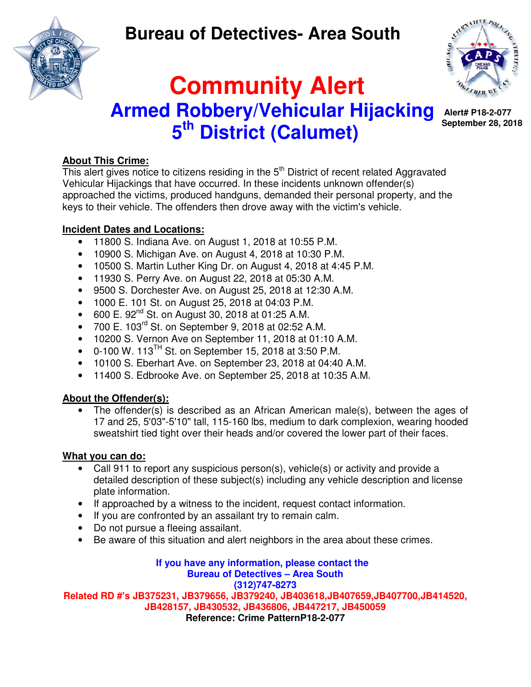## **Bureau of Detectives- Area South**

 **Community Alert** 

 **Armed Robbery/Vehicular Hijacking** 

**5 th District (Calumet)** 





 **Alert# P18-2-077 September 28, 2018** 

### **About This Crime:**

This alert gives notice to citizens residing in the 5<sup>th</sup> District of recent related Aggravated Vehicular Hijackings that have occurred. In these incidents unknown offender(s) approached the victims, produced handguns, demanded their personal property, and the keys to their vehicle. The offenders then drove away with the victim's vehicle.

#### **Incident Dates and Locations:**

- 11800 S. Indiana Ave. on August 1, 2018 at 10:55 P.M.
- 10900 S. Michigan Ave. on August 4, 2018 at 10:30 P.M.
- 10500 S. Martin Luther King Dr. on August 4, 2018 at 4:45 P.M.
- 11930 S. Perry Ave. on August 22, 2018 at 05:30 A.M.
- 9500 S. Dorchester Ave. on August 25, 2018 at 12:30 A.M.
- 1000 E. 101 St. on August 25, 2018 at 04:03 P.M.
- 600 E.  $92^{nd}$  St. on August 30, 2018 at 01:25 A.M.
- 700 E.  $103^{rd}$  St. on September 9, 2018 at 02:52 A.M.
- 10200 S. Vernon Ave on September 11, 2018 at 01:10 A.M.
- 0-100 W. 113<sup>TH</sup> St. on September 15, 2018 at 3:50 P.M.
- 10100 S. Eberhart Ave. on September 23, 2018 at 04:40 A.M.
- 11400 S. Edbrooke Ave. on September 25, 2018 at 10:35 A.M.

## **About the Offender(s):**

The offender(s) is described as an African American male(s), between the ages of 17 and 25, 5'03"-5'10" tall, 115-160 lbs, medium to dark complexion, wearing hooded sweatshirt tied tight over their heads and/or covered the lower part of their faces.

## **What you can do:**

- Call 911 to report any suspicious person(s), vehicle(s) or activity and provide a detailed description of these subject(s) including any vehicle description and license plate information.
- If approached by a witness to the incident, request contact information.
- If you are confronted by an assailant try to remain calm.
- Do not pursue a fleeing assailant.
- Be aware of this situation and alert neighbors in the area about these crimes.

**If you have any information, please contact the Bureau of Detectives – Area South (312)747-8273 Related RD #'s JB375231, JB379656, JB379240, JB403618,JB407659,JB407700,JB414520, JB428157, JB430532, JB436806, JB447217, JB450059 Reference: Crime PatternP18-2-077**